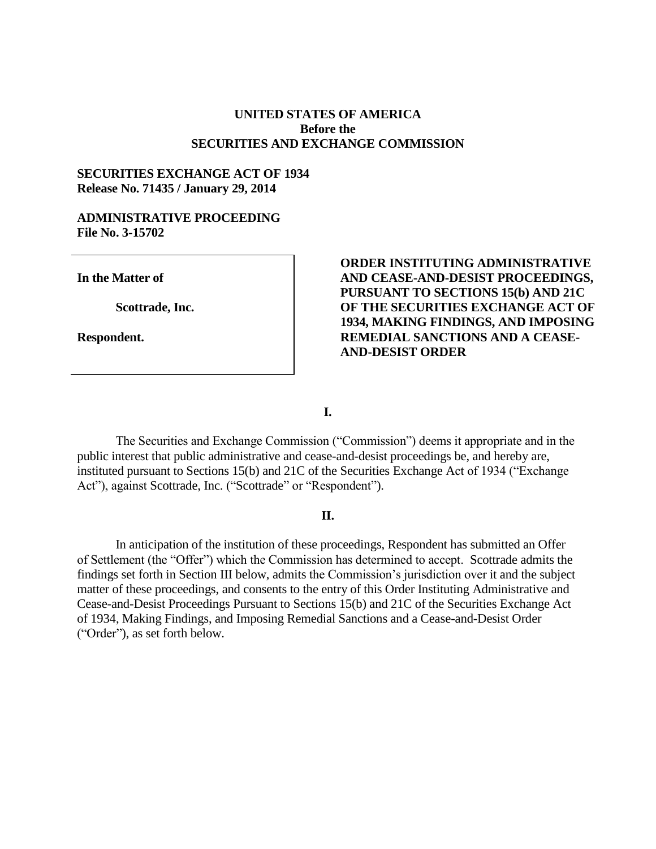### **UNITED STATES OF AMERICA Before the SECURITIES AND EXCHANGE COMMISSION**

## **SECURITIES EXCHANGE ACT OF 1934 Release No. 71435 / January 29, 2014**

### **ADMINISTRATIVE PROCEEDING File No. 3-15702**

**In the Matter of**

**Scottrade, Inc.**

**Respondent.**

## **ORDER INSTITUTING ADMINISTRATIVE AND CEASE-AND-DESIST PROCEEDINGS, PURSUANT TO SECTIONS 15(b) AND 21C OF THE SECURITIES EXCHANGE ACT OF 1934, MAKING FINDINGS, AND IMPOSING REMEDIAL SANCTIONS AND A CEASE-AND-DESIST ORDER**

**I.**

The Securities and Exchange Commission ("Commission") deems it appropriate and in the public interest that public administrative and cease-and-desist proceedings be, and hereby are, instituted pursuant to Sections 15(b) and 21C of the Securities Exchange Act of 1934 ("Exchange Act"), against Scottrade, Inc. ("Scottrade" or "Respondent").

### **II.**

In anticipation of the institution of these proceedings, Respondent has submitted an Offer of Settlement (the "Offer") which the Commission has determined to accept. Scottrade admits the findings set forth in Section III below, admits the Commission's jurisdiction over it and the subject matter of these proceedings, and consents to the entry of this Order Instituting Administrative and Cease-and-Desist Proceedings Pursuant to Sections 15(b) and 21C of the Securities Exchange Act of 1934, Making Findings, and Imposing Remedial Sanctions and a Cease-and-Desist Order ("Order"), as set forth below.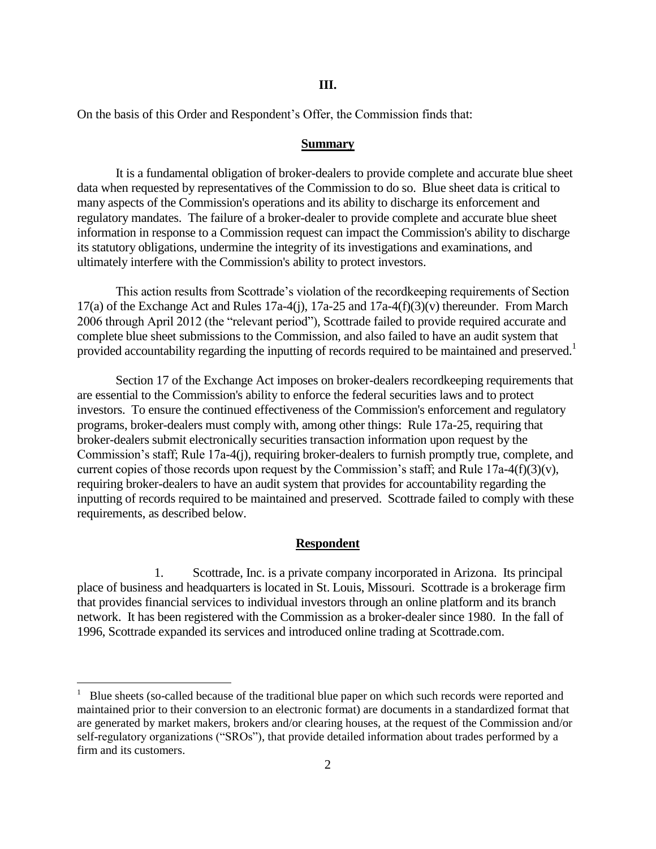#### **III.**

On the basis of this Order and Respondent's Offer, the Commission finds that:

#### **Summary**

It is a fundamental obligation of broker-dealers to provide complete and accurate blue sheet data when requested by representatives of the Commission to do so. Blue sheet data is critical to many aspects of the Commission's operations and its ability to discharge its enforcement and regulatory mandates. The failure of a broker-dealer to provide complete and accurate blue sheet information in response to a Commission request can impact the Commission's ability to discharge its statutory obligations, undermine the integrity of its investigations and examinations, and ultimately interfere with the Commission's ability to protect investors.

This action results from Scottrade's violation of the recordkeeping requirements of Section 17(a) of the Exchange Act and Rules 17a-4(j), 17a-25 and 17a-4(f)(3)(v) thereunder. From March 2006 through April 2012 (the "relevant period"), Scottrade failed to provide required accurate and complete blue sheet submissions to the Commission, and also failed to have an audit system that provided accountability regarding the inputting of records required to be maintained and preserved.<sup>1</sup>

Section 17 of the Exchange Act imposes on broker-dealers recordkeeping requirements that are essential to the Commission's ability to enforce the federal securities laws and to protect investors. To ensure the continued effectiveness of the Commission's enforcement and regulatory programs, broker-dealers must comply with, among other things: Rule 17a-25, requiring that broker-dealers submit electronically securities transaction information upon request by the Commission's staff; Rule 17a-4(j), requiring broker-dealers to furnish promptly true, complete, and current copies of those records upon request by the Commission's staff; and Rule  $17a-4(f)(3)(v)$ , requiring broker-dealers to have an audit system that provides for accountability regarding the inputting of records required to be maintained and preserved. Scottrade failed to comply with these requirements, as described below.

### **Respondent**

1. Scottrade, Inc. is a private company incorporated in Arizona. Its principal place of business and headquarters is located in St. Louis, Missouri. Scottrade is a brokerage firm that provides financial services to individual investors through an online platform and its branch network. It has been registered with the Commission as a broker-dealer since 1980. In the fall of 1996, Scottrade expanded its services and introduced online trading at Scottrade.com.

 $\overline{a}$ 

<sup>1</sup> Blue sheets (so-called because of the traditional blue paper on which such records were reported and maintained prior to their conversion to an electronic format) are documents in a standardized format that are generated by market makers, brokers and/or clearing houses, at the request of the Commission and/or self-regulatory organizations ("SROs"), that provide detailed information about trades performed by a firm and its customers.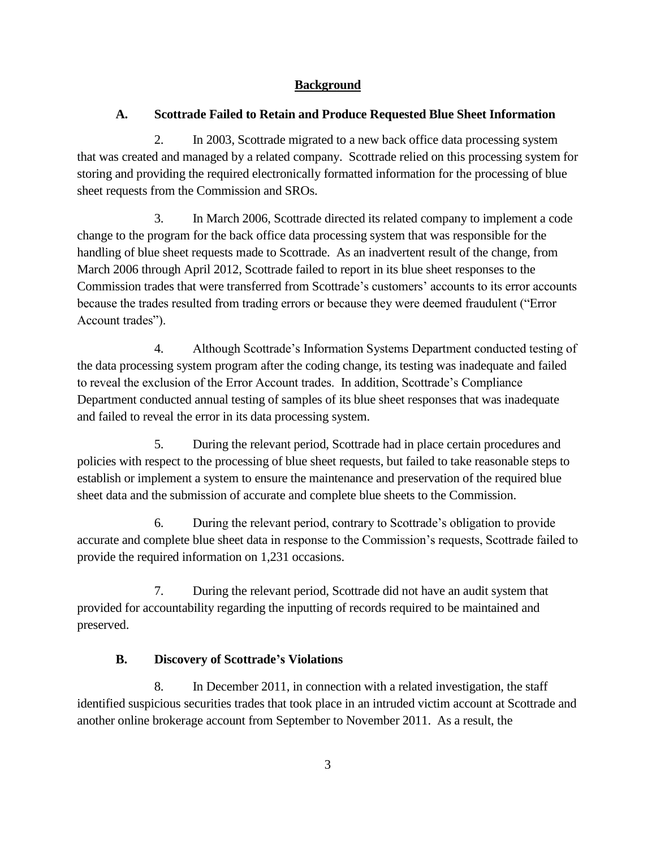# **Background**

# **A. Scottrade Failed to Retain and Produce Requested Blue Sheet Information**

2. In 2003, Scottrade migrated to a new back office data processing system that was created and managed by a related company. Scottrade relied on this processing system for storing and providing the required electronically formatted information for the processing of blue sheet requests from the Commission and SROs.

3. In March 2006, Scottrade directed its related company to implement a code change to the program for the back office data processing system that was responsible for the handling of blue sheet requests made to Scottrade. As an inadvertent result of the change, from March 2006 through April 2012, Scottrade failed to report in its blue sheet responses to the Commission trades that were transferred from Scottrade's customers' accounts to its error accounts because the trades resulted from trading errors or because they were deemed fraudulent ("Error Account trades").

4. Although Scottrade's Information Systems Department conducted testing of the data processing system program after the coding change, its testing was inadequate and failed to reveal the exclusion of the Error Account trades. In addition, Scottrade's Compliance Department conducted annual testing of samples of its blue sheet responses that was inadequate and failed to reveal the error in its data processing system.

5. During the relevant period, Scottrade had in place certain procedures and policies with respect to the processing of blue sheet requests, but failed to take reasonable steps to establish or implement a system to ensure the maintenance and preservation of the required blue sheet data and the submission of accurate and complete blue sheets to the Commission.

6. During the relevant period, contrary to Scottrade's obligation to provide accurate and complete blue sheet data in response to the Commission's requests, Scottrade failed to provide the required information on 1,231 occasions.

7. During the relevant period, Scottrade did not have an audit system that provided for accountability regarding the inputting of records required to be maintained and preserved.

# **B. Discovery of Scottrade's Violations**

8. In December 2011, in connection with a related investigation, the staff identified suspicious securities trades that took place in an intruded victim account at Scottrade and another online brokerage account from September to November 2011. As a result, the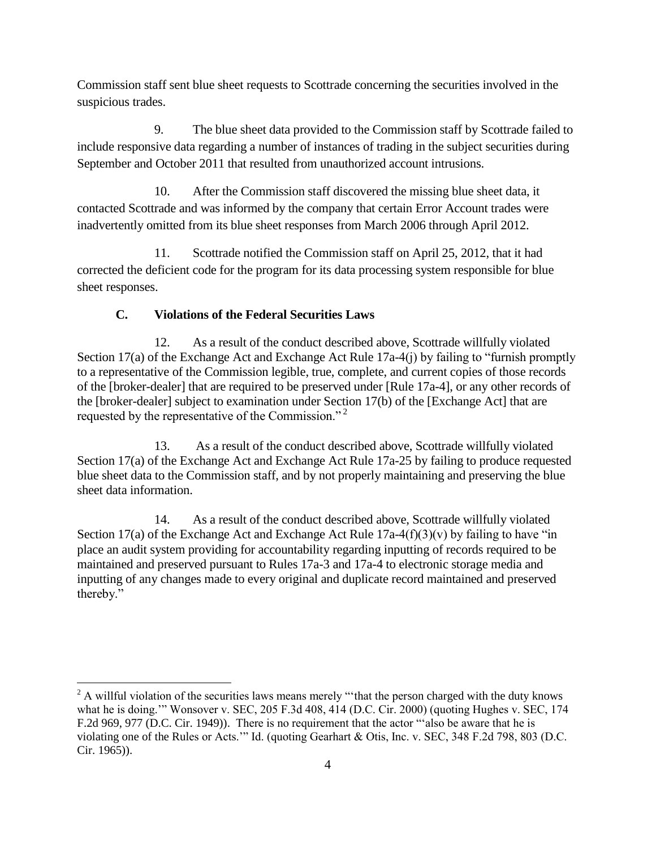Commission staff sent blue sheet requests to Scottrade concerning the securities involved in the suspicious trades.

9. The blue sheet data provided to the Commission staff by Scottrade failed to include responsive data regarding a number of instances of trading in the subject securities during September and October 2011 that resulted from unauthorized account intrusions.

10. After the Commission staff discovered the missing blue sheet data, it contacted Scottrade and was informed by the company that certain Error Account trades were inadvertently omitted from its blue sheet responses from March 2006 through April 2012.

11. Scottrade notified the Commission staff on April 25, 2012, that it had corrected the deficient code for the program for its data processing system responsible for blue sheet responses.

# **C. Violations of the Federal Securities Laws**

12. As a result of the conduct described above, Scottrade willfully violated Section 17(a) of the Exchange Act and Exchange Act Rule 17a-4(j) by failing to "furnish promptly to a representative of the Commission legible, true, complete, and current copies of those records of the [broker-dealer] that are required to be preserved under [Rule 17a-4], or any other records of the [broker-dealer] subject to examination under Section 17(b) of the [Exchange Act] that are requested by the representative of the Commission."<sup>2</sup>

13. As a result of the conduct described above, Scottrade willfully violated Section 17(a) of the Exchange Act and Exchange Act Rule 17a-25 by failing to produce requested blue sheet data to the Commission staff, and by not properly maintaining and preserving the blue sheet data information.

14. As a result of the conduct described above, Scottrade willfully violated Section 17(a) of the Exchange Act and Exchange Act Rule  $17a-4(f)(3)(v)$  by failing to have "in place an audit system providing for accountability regarding inputting of records required to be maintained and preserved pursuant to Rules 17a-3 and 17a-4 to electronic storage media and inputting of any changes made to every original and duplicate record maintained and preserved thereby."

 $\overline{a}$ <sup>2</sup> A willful violation of the securities laws means merely "that the person charged with the duty knows what he is doing.'" Wonsover v. SEC, 205 F.3d 408, 414 (D.C. Cir. 2000) (quoting Hughes v. SEC, 174 F.2d 969, 977 (D.C. Cir. 1949)). There is no requirement that the actor "'also be aware that he is violating one of the Rules or Acts.'" Id. (quoting Gearhart & Otis, Inc. v. SEC, 348 F.2d 798, 803 (D.C. Cir. 1965)).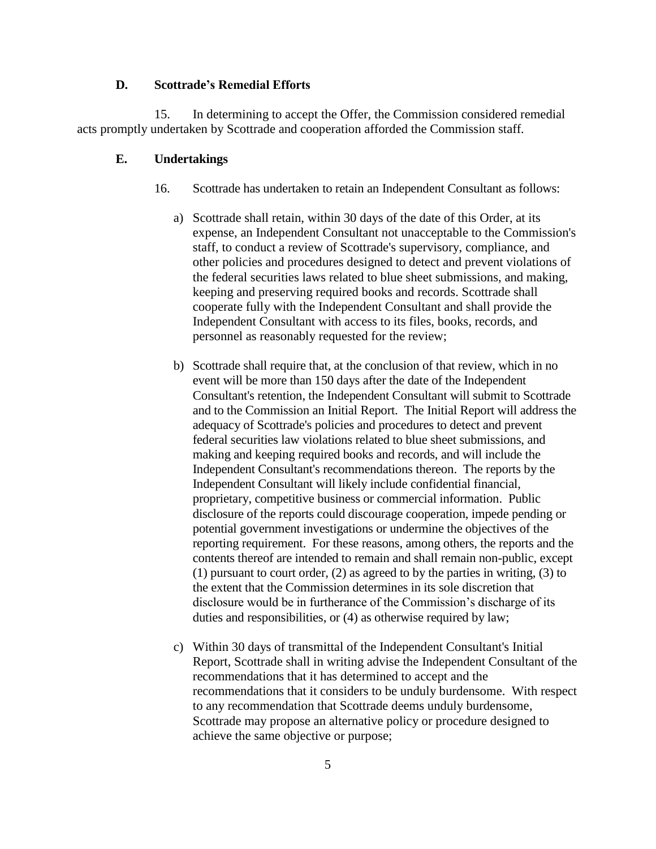### **D. Scottrade's Remedial Efforts**

15. In determining to accept the Offer, the Commission considered remedial acts promptly undertaken by Scottrade and cooperation afforded the Commission staff*.* 

### **E. Undertakings**

- 16. Scottrade has undertaken to retain an Independent Consultant as follows:
	- a) Scottrade shall retain, within 30 days of the date of this Order, at its expense, an Independent Consultant not unacceptable to the Commission's staff, to conduct a review of Scottrade's supervisory, compliance, and other policies and procedures designed to detect and prevent violations of the federal securities laws related to blue sheet submissions, and making, keeping and preserving required books and records. Scottrade shall cooperate fully with the Independent Consultant and shall provide the Independent Consultant with access to its files, books, records, and personnel as reasonably requested for the review;
	- b) Scottrade shall require that, at the conclusion of that review, which in no event will be more than 150 days after the date of the Independent Consultant's retention, the Independent Consultant will submit to Scottrade and to the Commission an Initial Report. The Initial Report will address the adequacy of Scottrade's policies and procedures to detect and prevent federal securities law violations related to blue sheet submissions, and making and keeping required books and records, and will include the Independent Consultant's recommendations thereon. The reports by the Independent Consultant will likely include confidential financial, proprietary, competitive business or commercial information. Public disclosure of the reports could discourage cooperation, impede pending or potential government investigations or undermine the objectives of the reporting requirement. For these reasons, among others, the reports and the contents thereof are intended to remain and shall remain non-public, except (1) pursuant to court order, (2) as agreed to by the parties in writing, (3) to the extent that the Commission determines in its sole discretion that disclosure would be in furtherance of the Commission's discharge of its duties and responsibilities, or (4) as otherwise required by law;
	- c) Within 30 days of transmittal of the Independent Consultant's Initial Report, Scottrade shall in writing advise the Independent Consultant of the recommendations that it has determined to accept and the recommendations that it considers to be unduly burdensome. With respect to any recommendation that Scottrade deems unduly burdensome, Scottrade may propose an alternative policy or procedure designed to achieve the same objective or purpose;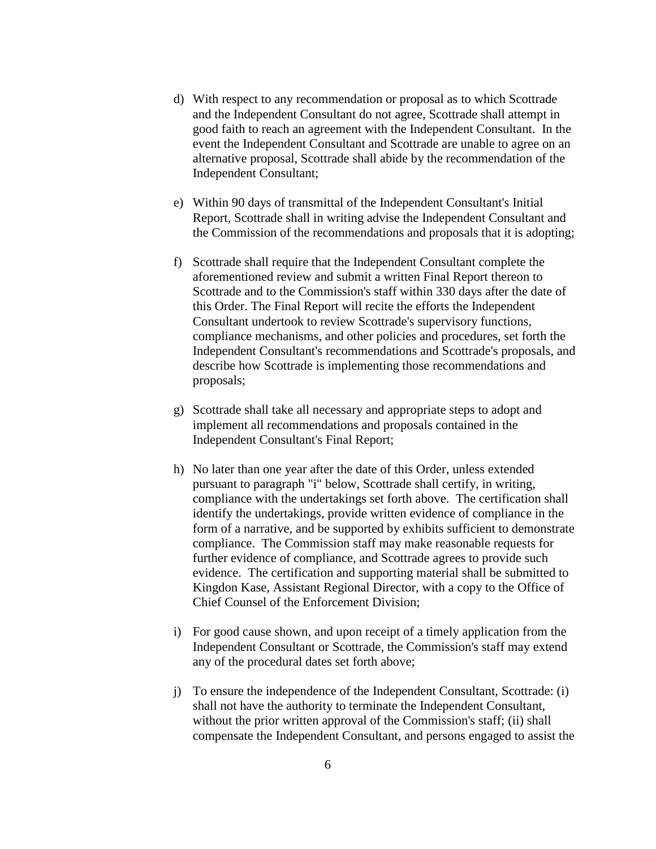- d) With respect to any recommendation or proposal as to which Scottrade and the Independent Consultant do not agree, Scottrade shall attempt in good faith to reach an agreement with the Independent Consultant. In the event the Independent Consultant and Scottrade are unable to agree on an alternative proposal, Scottrade shall abide by the recommendation of the Independent Consultant;
- e) Within 90 days of transmittal of the Independent Consultant's Initial Report, Scottrade shall in writing advise the Independent Consultant and the Commission of the recommendations and proposals that it is adopting;
- f) Scottrade shall require that the Independent Consultant complete the aforementioned review and submit a written Final Report thereon to Scottrade and to the Commission's staff within 330 days after the date of this Order. The Final Report will recite the efforts the Independent Consultant undertook to review Scottrade's supervisory functions, compliance mechanisms, and other policies and procedures, set forth the Independent Consultant's recommendations and Scottrade's proposals, and describe how Scottrade is implementing those recommendations and proposals;
- g) Scottrade shall take all necessary and appropriate steps to adopt and implement all recommendations and proposals contained in the Independent Consultant's Final Report;
- h) No later than one year after the date of this Order, unless extended pursuant to paragraph "i" below, Scottrade shall certify, in writing, compliance with the undertakings set forth above. The certification shall identify the undertakings, provide written evidence of compliance in the form of a narrative, and be supported by exhibits sufficient to demonstrate compliance. The Commission staff may make reasonable requests for further evidence of compliance, and Scottrade agrees to provide such evidence. The certification and supporting material shall be submitted to Kingdon Kase, Assistant Regional Director, with a copy to the Office of Chief Counsel of the Enforcement Division;
- i) For good cause shown, and upon receipt of a timely application from the Independent Consultant or Scottrade, the Commission's staff may extend any of the procedural dates set forth above;
- j) To ensure the independence of the Independent Consultant, Scottrade: (i) shall not have the authority to terminate the Independent Consultant, without the prior written approval of the Commission's staff; (ii) shall compensate the Independent Consultant, and persons engaged to assist the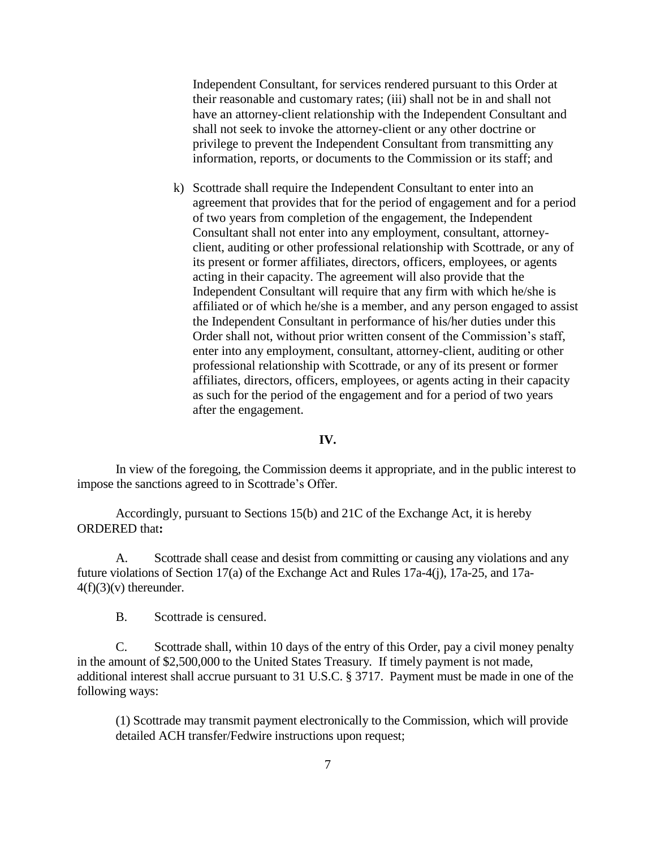Independent Consultant, for services rendered pursuant to this Order at their reasonable and customary rates; (iii) shall not be in and shall not have an attorney-client relationship with the Independent Consultant and shall not seek to invoke the attorney-client or any other doctrine or privilege to prevent the Independent Consultant from transmitting any information, reports, or documents to the Commission or its staff; and

k) Scottrade shall require the Independent Consultant to enter into an agreement that provides that for the period of engagement and for a period of two years from completion of the engagement, the Independent Consultant shall not enter into any employment, consultant, attorneyclient, auditing or other professional relationship with Scottrade, or any of its present or former affiliates, directors, officers, employees, or agents acting in their capacity. The agreement will also provide that the Independent Consultant will require that any firm with which he/she is affiliated or of which he/she is a member, and any person engaged to assist the Independent Consultant in performance of his/her duties under this Order shall not, without prior written consent of the Commission's staff, enter into any employment, consultant, attorney-client, auditing or other professional relationship with Scottrade, or any of its present or former affiliates, directors, officers, employees, or agents acting in their capacity as such for the period of the engagement and for a period of two years after the engagement.

#### **IV.**

In view of the foregoing, the Commission deems it appropriate, and in the public interest to impose the sanctions agreed to in Scottrade's Offer.

Accordingly, pursuant to Sections 15(b) and 21C of the Exchange Act, it is hereby ORDERED that**:**

A. Scottrade shall cease and desist from committing or causing any violations and any future violations of Section 17(a) of the Exchange Act and Rules 17a-4(j), 17a-25, and 17a- $4(f)(3)(v)$  thereunder.

B. Scottrade is censured.

C. Scottrade shall, within 10 days of the entry of this Order, pay a civil money penalty in the amount of \$2,500,000 to the United States Treasury*.* If timely payment is not made, additional interest shall accrue pursuant to 31 U.S.C. § 3717. Payment must be made in one of the following ways:

(1) Scottrade may transmit payment electronically to the Commission, which will provide detailed ACH transfer/Fedwire instructions upon request;